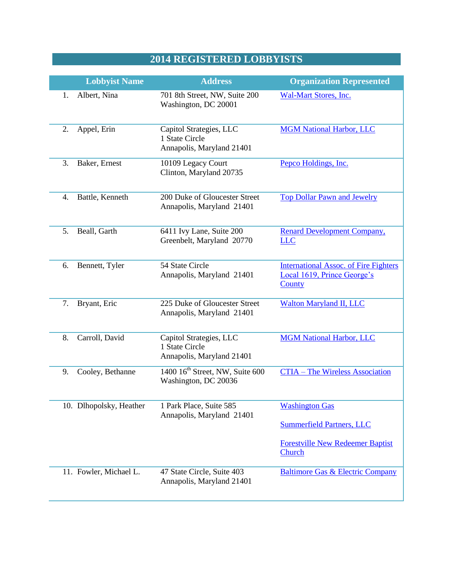## **2014 REGISTERED LOBBYISTS**

|    | <b>Lobbyist Name</b>    | <b>Address</b>                                                         | <b>Organization Represented</b>                                                                                |
|----|-------------------------|------------------------------------------------------------------------|----------------------------------------------------------------------------------------------------------------|
| 1. | Albert, Nina            | 701 8th Street, NW, Suite 200<br>Washington, DC 20001                  | <b>Wal-Mart Stores, Inc.</b>                                                                                   |
| 2. | Appel, Erin             | Capitol Strategies, LLC<br>1 State Circle<br>Annapolis, Maryland 21401 | <b>MGM National Harbor, LLC</b>                                                                                |
| 3. | Baker, Ernest           | 10109 Legacy Court<br>Clinton, Maryland 20735                          | Pepco Holdings, Inc.                                                                                           |
| 4. | Battle, Kenneth         | 200 Duke of Gloucester Street<br>Annapolis, Maryland 21401             | <b>Top Dollar Pawn and Jewelry</b>                                                                             |
| 5. | Beall, Garth            | 6411 Ivy Lane, Suite 200<br>Greenbelt, Maryland 20770                  | <b>Renard Development Company,</b><br><b>LLC</b>                                                               |
| 6. | Bennett, Tyler          | 54 State Circle<br>Annapolis, Maryland 21401                           | <b>International Assoc. of Fire Fighters</b><br>Local 1619, Prince George's<br>County                          |
| 7. | Bryant, Eric            | 225 Duke of Gloucester Street<br>Annapolis, Maryland 21401             | <b>Walton Maryland II, LLC</b>                                                                                 |
| 8. | Carroll, David          | Capitol Strategies, LLC<br>1 State Circle<br>Annapolis, Maryland 21401 | <b>MGM National Harbor, LLC</b>                                                                                |
| 9. | Cooley, Bethanne        | 1400 16 <sup>th</sup> Street, NW, Suite 600<br>Washington, DC 20036    | <b>CTIA - The Wireless Association</b>                                                                         |
|    | 10. Dlhopolsky, Heather | 1 Park Place, Suite 585<br>Annapolis, Maryland 21401                   | <b>Washington Gas</b><br><b>Summerfield Partners, LLC</b><br><b>Forestville New Redeemer Baptist</b><br>Church |
|    | 11. Fowler, Michael L.  | 47 State Circle, Suite 403<br>Annapolis, Maryland 21401                | <b>Baltimore Gas &amp; Electric Company</b>                                                                    |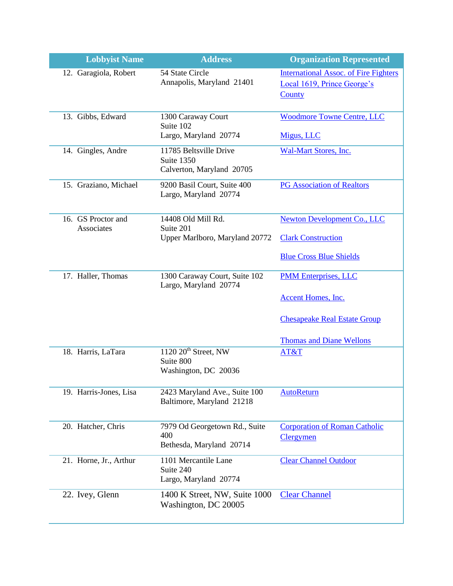| <b>Lobbyist Name</b>                    | <b>Address</b>                                                    | <b>Organization Represented</b>                                                       |
|-----------------------------------------|-------------------------------------------------------------------|---------------------------------------------------------------------------------------|
| 12. Garagiola, Robert                   | 54 State Circle<br>Annapolis, Maryland 21401                      | <b>International Assoc. of Fire Fighters</b><br>Local 1619, Prince George's<br>County |
| 13. Gibbs, Edward                       | 1300 Caraway Court<br>Suite 102<br>Largo, Maryland 20774          | <b>Woodmore Towne Centre, LLC</b><br>Migus, LLC                                       |
| 14. Gingles, Andre                      | 11785 Beltsville Drive<br>Suite 1350<br>Calverton, Maryland 20705 | Wal-Mart Stores, Inc.                                                                 |
| 15. Graziano, Michael                   | 9200 Basil Court, Suite 400<br>Largo, Maryland 20774              | <b>PG Association of Realtors</b>                                                     |
| 16. GS Proctor and<br><b>Associates</b> | 14408 Old Mill Rd.<br>Suite 201<br>Upper Marlboro, Maryland 20772 | <b>Newton Development Co., LLC</b><br><b>Clark Construction</b>                       |
|                                         |                                                                   | <b>Blue Cross Blue Shields</b>                                                        |
| 17. Haller, Thomas                      | 1300 Caraway Court, Suite 102<br>Largo, Maryland 20774            | <b>PMM Enterprises, LLC</b><br><b>Accent Homes</b> , Inc.                             |
|                                         |                                                                   | <b>Chesapeake Real Estate Group</b><br><b>Thomas and Diane Wellons</b>                |
| 18. Harris, LaTara                      | $1120$ $20th$ Street, NW<br>Suite 800<br>Washington, DC 20036     | AT&T                                                                                  |
| 19. Harris-Jones, Lisa                  | 2423 Maryland Ave., Suite 100<br>Baltimore, Maryland 21218        | <b>AutoReturn</b>                                                                     |
| 20. Hatcher, Chris                      | 7979 Od Georgetown Rd., Suite<br>400<br>Bethesda, Maryland 20714  | <b>Corporation of Roman Catholic</b><br><b>Clergymen</b>                              |
| 21. Horne, Jr., Arthur                  | 1101 Mercantile Lane<br>Suite 240<br>Largo, Maryland 20774        | <b>Clear Channel Outdoor</b>                                                          |
| 22. Ivey, Glenn                         | 1400 K Street, NW, Suite 1000<br>Washington, DC 20005             | <b>Clear Channel</b>                                                                  |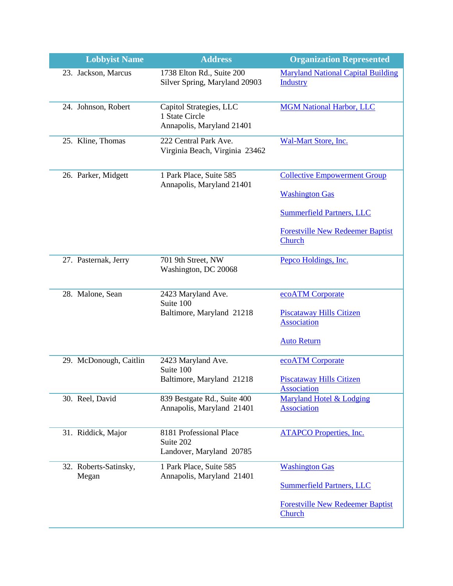| <b>Lobbyist Name</b>           | <b>Address</b>                                                         | <b>Organization Represented</b>                              |
|--------------------------------|------------------------------------------------------------------------|--------------------------------------------------------------|
| 23. Jackson, Marcus            | 1738 Elton Rd., Suite 200<br>Silver Spring, Maryland 20903             | <b>Maryland National Capital Building</b><br><b>Industry</b> |
| 24. Johnson, Robert            | Capitol Strategies, LLC<br>1 State Circle<br>Annapolis, Maryland 21401 | <b>MGM National Harbor, LLC</b>                              |
| 25. Kline, Thomas              | 222 Central Park Ave.<br>Virginia Beach, Virginia 23462                | Wal-Mart Store, Inc.                                         |
| 26. Parker, Midgett            | 1 Park Place, Suite 585<br>Annapolis, Maryland 21401                   | <b>Collective Empowerment Group</b><br><b>Washington Gas</b> |
|                                |                                                                        | <b>Summerfield Partners, LLC</b>                             |
|                                |                                                                        | <b>Forestville New Redeemer Baptist</b><br>Church            |
| 27. Pasternak, Jerry           | 701 9th Street, NW<br>Washington, DC 20068                             | Pepco Holdings, Inc.                                         |
| 28. Malone, Sean               | 2423 Maryland Ave.<br>Suite 100                                        | ecoATM Corporate                                             |
|                                | Baltimore, Maryland 21218                                              | <b>Piscataway Hills Citizen</b><br><b>Association</b>        |
|                                |                                                                        | <b>Auto Return</b>                                           |
| 29. McDonough, Caitlin         | 2423 Maryland Ave.<br>Suite 100                                        | ecoATM Corporate                                             |
|                                | Baltimore, Maryland 21218                                              | <b>Piscataway Hills Citizen</b><br><b>Association</b>        |
| 30. Reel, David                | 839 Bestgate Rd., Suite 400<br>Annapolis, Maryland 21401               | <b>Maryland Hotel &amp; Lodging</b><br><b>Association</b>    |
| 31. Riddick, Major             | 8181 Professional Place<br>Suite 202<br>Landover, Maryland 20785       | <b>ATAPCO Properties, Inc.</b>                               |
| 32. Roberts-Satinsky,<br>Megan | 1 Park Place, Suite 585<br>Annapolis, Maryland 21401                   | <b>Washington Gas</b>                                        |
|                                |                                                                        | <b>Summerfield Partners, LLC</b>                             |
|                                |                                                                        | <b>Forestville New Redeemer Baptist</b><br>Church            |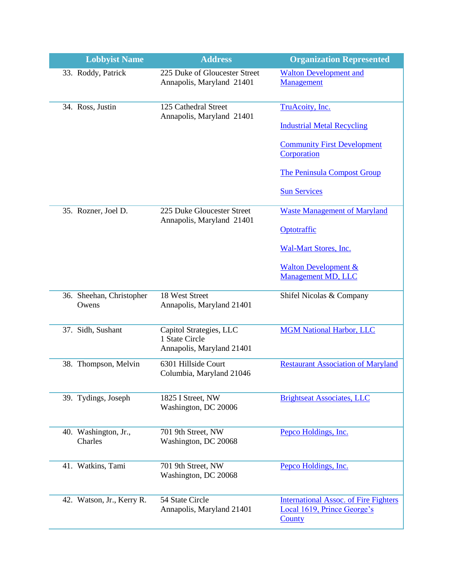| <b>Lobbyist Name</b>              | <b>Address</b>                                                         | <b>Organization Represented</b>                                                              |
|-----------------------------------|------------------------------------------------------------------------|----------------------------------------------------------------------------------------------|
| 33. Roddy, Patrick                | 225 Duke of Gloucester Street<br>Annapolis, Maryland 21401             | <b>Walton Development and</b><br>Management                                                  |
| 34. Ross, Justin                  | 125 Cathedral Street<br>Annapolis, Maryland 21401                      | TruAcoity, Inc.                                                                              |
|                                   |                                                                        | <b>Industrial Metal Recycling</b>                                                            |
|                                   |                                                                        | <b>Community First Development</b><br>Corporation                                            |
|                                   |                                                                        | <b>The Peninsula Compost Group</b>                                                           |
|                                   |                                                                        | <b>Sun Services</b>                                                                          |
| 35. Rozner, Joel D.               | 225 Duke Gloucester Street<br>Annapolis, Maryland 21401                | <b>Waste Management of Maryland</b>                                                          |
|                                   |                                                                        | Optotraffic                                                                                  |
|                                   |                                                                        | Wal-Mart Stores, Inc.                                                                        |
|                                   |                                                                        | <b>Walton Development &amp;</b><br>Management MD, LLC                                        |
| 36. Sheehan, Christopher<br>Owens | 18 West Street<br>Annapolis, Maryland 21401                            | Shifel Nicolas & Company                                                                     |
| 37. Sidh, Sushant                 | Capitol Strategies, LLC<br>1 State Circle<br>Annapolis, Maryland 21401 | <b>MGM National Harbor, LLC</b>                                                              |
| 38. Thompson, Melvin              | 6301 Hillside Court<br>Columbia, Maryland 21046                        | <b>Restaurant Association of Maryland</b>                                                    |
| 39. Tydings, Joseph               | 1825 I Street, NW<br>Washington, DC 20006                              | <b>Brightseat Associates, LLC</b>                                                            |
| 40. Washington, Jr.,<br>Charles   | 701 9th Street, NW<br>Washington, DC 20068                             | Pepco Holdings, Inc.                                                                         |
| 41. Watkins, Tami                 | 701 9th Street, NW<br>Washington, DC 20068                             | Pepco Holdings, Inc.                                                                         |
| 42. Watson, Jr., Kerry R.         | 54 State Circle<br>Annapolis, Maryland 21401                           | <b>International Assoc. of Fire Fighters</b><br>Local 1619, Prince George's<br><b>County</b> |